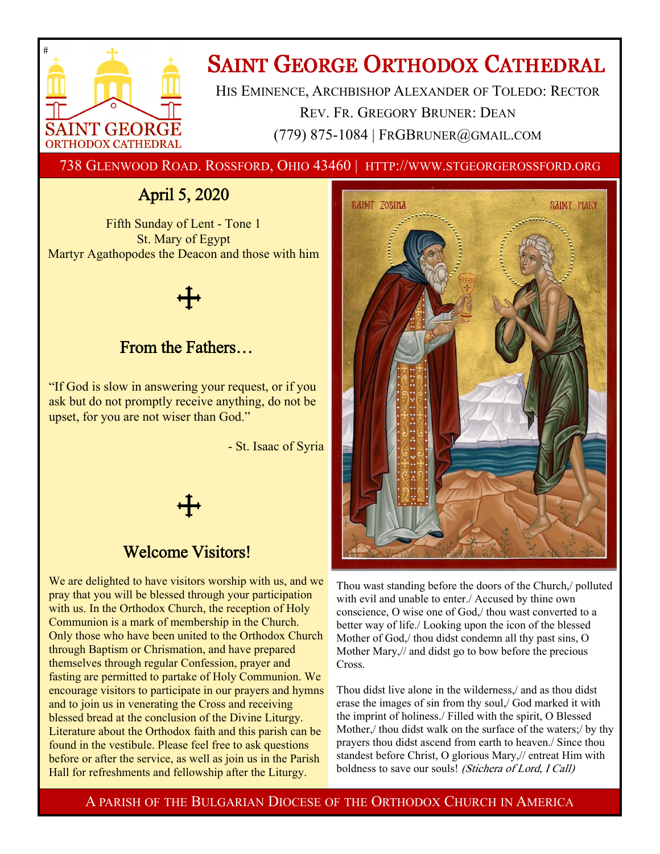

# **SAINT GEORGE ORTHODOX CATHEDRAL**

HIS EMINENCE, ARCHBISHOP ALEXANDER OF TOLEDO: RECTOR REV. FR. GREGORY BRUNER: DEAN (779) 875-1084 | FRGBRUNER@GMAIL.COM

738 GLENWOOD ROAD. ROSSFORD, OHIO 43460 | HTTP://WWW.STGEORGEROSSFORD.ORG

## April 5, 2020

Fifth Sunday of Lent - Tone 1 St. Mary of Egypt Martyr Agathopodes the Deacon and those with him

## From the Fathers…

"If God is slow in answering your request, or if you ask but do not promptly receive anything, do not be upset, for you are not wiser than God."

- St. Isaac of Syria



## Welcome Visitors!

We are delighted to have visitors worship with us, and we pray that you will be blessed through your participation with us. In the Orthodox Church, the reception of Holy Communion is a mark of membership in the Church. Only those who have been united to the Orthodox Church through Baptism or Chrismation, and have prepared themselves through regular Confession, prayer and fasting are permitted to partake of Holy Communion. We encourage visitors to participate in our prayers and hymns and to join us in venerating the Cross and receiving blessed bread at the conclusion of the Divine Liturgy. Literature about the Orthodox faith and this parish can be found in the vestibule. Please feel free to ask questions before or after the service, as well as join us in the Parish Hall for refreshments and fellowship after the Liturgy.



Thou wast standing before the doors of the Church,/ polluted with evil and unable to enter./ Accused by thine own conscience, O wise one of God,/ thou wast converted to a better way of life./ Looking upon the icon of the blessed Mother of God,/ thou didst condemn all thy past sins, O Mother Mary,// and didst go to bow before the precious Cross.

Thou didst live alone in the wilderness,/ and as thou didst erase the images of sin from thy soul,/ God marked it with the imprint of holiness./ Filled with the spirit, O Blessed Mother,/ thou didst walk on the surface of the waters;/ by thy prayers thou didst ascend from earth to heaven./ Since thou standest before Christ, O glorious Mary,// entreat Him with boldness to save our souls! (Stichera of Lord, I Call)

A PARISH OF THE BULGARIAN DIOCESE OF THE ORTHODOX CHURCH IN AMERICA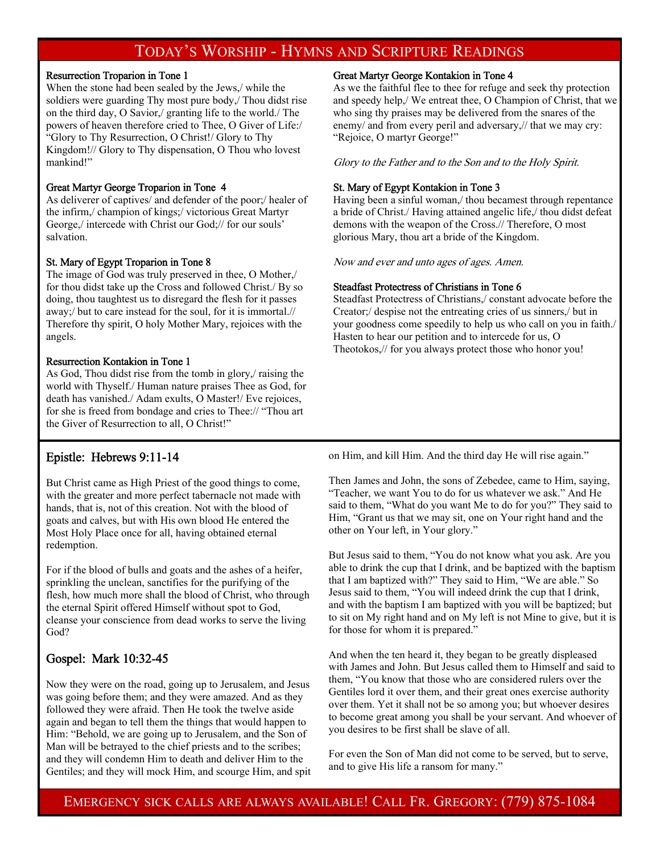### TODAY'S WORSHIP - HYMNS AND SCRIPTURE READINGS

#### Resurrection Troparion in Tone 1

When the stone had been sealed by the Jews,/ while the soldiers were guarding Thy most pure body,/ Thou didst rise on the third day, O Savior,/ granting life to the world./ The powers of heaven therefore cried to Thee, O Giver of Life:/ "Glory to Thy Resurrection, O Christ!/ Glory to Thy Kingdom!// Glory to Thy dispensation, O Thou who lovest mankind!"

### Great Martyr George Troparion in Tone 4

As deliverer of captives/ and defender of the poor;/ healer of the infirm,/ champion of kings;/ victorious Great Martyr George,/ intercede with Christ our God;// for our souls' salvation.

### St. Mary of Egypt Troparion in Tone 8

The image of God was truly preserved in thee, O Mother,/ for thou didst take up the Cross and followed Christ./ By so doing, thou taughtest us to disregard the flesh for it passes away;/ but to care instead for the soul, for it is immortal.// Therefore thy spirit, O holy Mother Mary, rejoices with the angels.

### Resurrection Kontakion in Tone 1

As God, Thou didst rise from the tomb in glory,/ raising the world with Thyself./ Human nature praises Thee as God, for death has vanished./ Adam exults, O Master!/ Eve rejoices, for she is freed from bondage and cries to Thee:// "Thou art the Giver of Resurrection to all, O Christ!"

### Epistle: Hebrews 9:11-14

But Christ came as High Priest of the good things to come, with the greater and more perfect tabernacle not made with hands, that is, not of this creation. Not with the blood of goats and calves, but with His own blood He entered the Most Holy Place once for all, having obtained eternal redemption.

For if the blood of bulls and goats and the ashes of a heifer, sprinkling the unclean, sanctifies for the purifying of the flesh, how much more shall the blood of Christ, who through the eternal Spirit offered Himself without spot to God, cleanse your conscience from dead works to serve the living God?

### Gospel: Mark 10:32-45

Now they were on the road, going up to Jerusalem, and Jesus was going before them; and they were amazed. And as they followed they were afraid. Then He took the twelve aside again and began to tell them the things that would happen to Him: "Behold, we are going up to Jerusalem, and the Son of Man will be betrayed to the chief priests and to the scribes; and they will condemn Him to death and deliver Him to the Gentiles; and they will mock Him, and scourge Him, and spit

#### Great Martyr George Kontakion in Tone 4

As we the faithful flee to thee for refuge and seek thy protection and speedy help,/ We entreat thee, O Champion of Christ, that we who sing thy praises may be delivered from the snares of the enemy/ and from every peril and adversary,// that we may cry: "Rejoice, O martyr George!"

Glory to the Father and to the Son and to the Holy Spirit.

### St. Mary of Egypt Kontakion in Tone 3

Having been a sinful woman,/ thou becamest through repentance a bride of Christ./ Having attained angelic life,/ thou didst defeat demons with the weapon of the Cross.// Therefore, O most glorious Mary, thou art a bride of the Kingdom.

Now and ever and unto ages of ages. Amen.

### Steadfast Protectress of Christians in Tone 6

Steadfast Protectress of Christians,/ constant advocate before the Creator;/ despise not the entreating cries of us sinners,/ but in your goodness come speedily to help us who call on you in faith./ Hasten to hear our petition and to intercede for us, O Theotokos,// for you always protect those who honor you!

on Him, and kill Him. And the third day He will rise again."

Then James and John, the sons of Zebedee, came to Him, saying, "Teacher, we want You to do for us whatever we ask." And He said to them, "What do you want Me to do for you?" They said to Him, "Grant us that we may sit, one on Your right hand and the other on Your left, in Your glory."

But Jesus said to them, "You do not know what you ask. Are you able to drink the cup that I drink, and be baptized with the baptism that I am baptized with?" They said to Him, "We are able." So Jesus said to them, "You will indeed drink the cup that I drink, and with the baptism I am baptized with you will be baptized; but to sit on My right hand and on My left is not Mine to give, but it is for those for whom it is prepared."

And when the ten heard it, they began to be greatly displeased with James and John. But Jesus called them to Himself and said to them, "You know that those who are considered rulers over the Gentiles lord it over them, and their great ones exercise authority over them. Yet it shall not be so among you; but whoever desires to become great among you shall be your servant. And whoever of you desires to be first shall be slave of all.

For even the Son of Man did not come to be served, but to serve, and to give His life a ransom for many."

EMERGENCY SICK CALLS ARE ALWAYS AVAILABLE! CALL FR. GREGORY: (779) 875-1084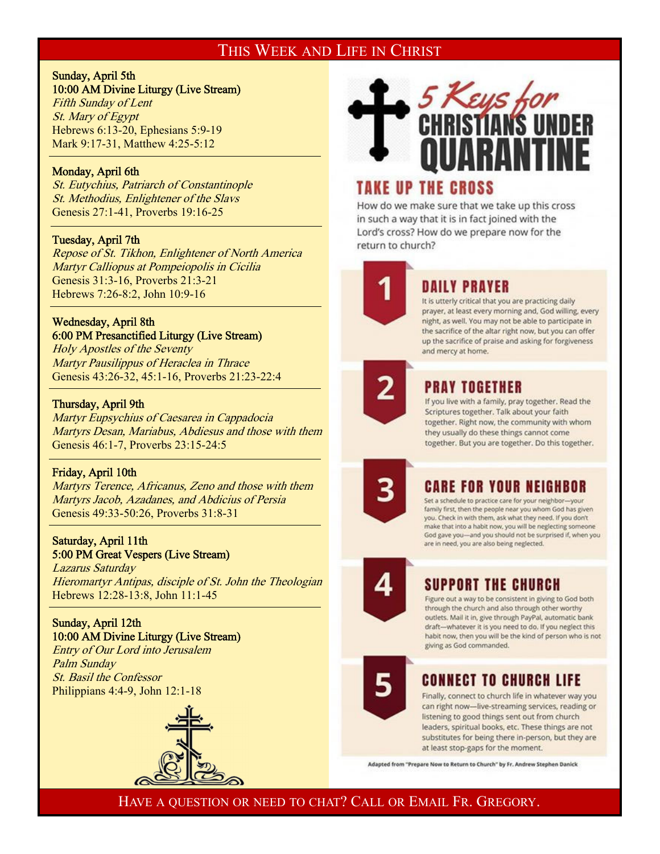## THIS WEEK AND LIFE IN CHRIST

### Sunday, April 5th 10:00 AM Divine Liturgy (Live Stream)

Fifth Sunday of Lent St. Mary of Egypt Hebrews 6:13-20, Ephesians 5:9-19 Mark 9:17-31, Matthew 4:25-5:12

### Monday, April 6th

 $\overline{a}$ 

 $\overline{a}$ 

 $\overline{a}$ 

 $\overline{a}$ 

St. Eutychius, Patriarch of Constantinople St. Methodius, Enlightener of the Slavs Genesis 27:1-41, Proverbs 19:16-25

### Tuesday, April 7th

Repose of St. Tikhon, Enlightener of North America Martyr Calliopus at Pompeiopolis in Cicilia Genesis 31:3-16, Proverbs 21:3-21 Hebrews 7:26-8:2, John 10:9-16

### Wednesday, April 8th 6:00 PM Presanctified Liturgy (Live Stream)

Holy Apostles of the Seventy Martyr Pausilippus of Heraclea in Thrace Genesis 43:26-32, 45:1-16, Proverbs 21:23-22:4

### Thursday, April 9th

Martyr Eupsychius of Caesarea in Cappadocia Martyrs Desan, Mariabus, Abdiesus and those with them Genesis 46:1-7, Proverbs 23:15-24:5

### Friday, April 10th

Martyrs Terence, Africanus, Zeno and those with them Martyrs Jacob, Azadanes, and Abdicius of Persia Genesis 49:33-50:26, Proverbs 31:8-31

### Saturday, April 11th 5:00 PM Great Vespers (Live Stream)

Lazarus Saturday Hieromartyr Antipas, disciple of St. John the Theologian Hebrews 12:28-13:8, John 11:1-45

### Sunday, April 12th 10:00 AM Divine Liturgy (Live Stream)

Entry of Our Lord into Jerusalem Palm Sunday St. Basil the Confessor Philippians 4:4-9, John 12:1-18





## **TAKE UP THE CROSS**

How do we make sure that we take up this cross in such a way that it is in fact joined with the Lord's cross? How do we prepare now for the return to church?



## **DAILY PRAYER**

It is utterly critical that you are practicing daily prayer, at least every morning and, God willing, every night, as well. You may not be able to participate in the sacrifice of the altar right now, but you can offer up the sacrifice of praise and asking for forgiveness and mercy at home.



## PRAY TOGETHER

If you live with a family, pray together. Read the Scriptures together. Talk about your faith together. Right now, the community with whom they usually do these things cannot come together. But you are together. Do this together.



## **CARE FOR YOUR NEIGHBOR**

Set a schedule to practice care for your neighbor-your family first, then the people near you whom God has given you. Check in with them, ask what they need. If you don't make that into a habit now, you will be neglecting someone God gave you-and you should not be surprised if, when you are in need, you are also being neglected.



## SUPPORT THE CHURCH

Figure out a way to be consistent in giving to God both through the church and also through other worthy outlets. Mail it in, give through PayPal, automatic bank draft-whatever it is you need to do. If you neglect this habit now, then you will be the kind of person who is not giving as God commanded.



## CONNECT TO CHURCH LIFE

Finally, connect to church life in whatever way you can right now-live-streaming services, reading or listening to good things sent out from church leaders, spiritual books, etc. These things are not substitutes for being there in-person, but they are at least stop-gaps for the moment.

Adapted from "Prepare Now to Return to Church" by Fr. Andrew Stephen Danick

HAVE A QUESTION OR NEED TO CHAT? CALL OR EMAIL FR. GREGORY.